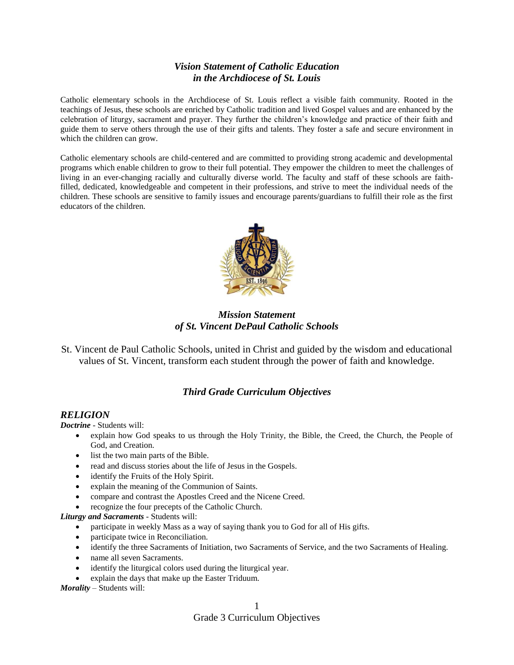# *Vision Statement of Catholic Education in the Archdiocese of St. Louis*

Catholic elementary schools in the Archdiocese of St. Louis reflect a visible faith community. Rooted in the teachings of Jesus, these schools are enriched by Catholic tradition and lived Gospel values and are enhanced by the celebration of liturgy, sacrament and prayer. They further the children's knowledge and practice of their faith and guide them to serve others through the use of their gifts and talents. They foster a safe and secure environment in which the children can grow.

Catholic elementary schools are child-centered and are committed to providing strong academic and developmental programs which enable children to grow to their full potential. They empower the children to meet the challenges of living in an ever-changing racially and culturally diverse world. The faculty and staff of these schools are faithfilled, dedicated, knowledgeable and competent in their professions, and strive to meet the individual needs of the children. These schools are sensitive to family issues and encourage parents/guardians to fulfill their role as the first educators of the children.



*Mission Statement of St. Vincent DePaul Catholic Schools*

St. Vincent de Paul Catholic Schools, united in Christ and guided by the wisdom and educational values of St. Vincent, transform each student through the power of faith and knowledge.

## *Third Grade Curriculum Objectives*

### *RELIGION*

*Doctrine -* Students will:

- explain how God speaks to us through the Holy Trinity, the Bible, the Creed, the Church, the People of God, and Creation.
- list the two main parts of the Bible.
- read and discuss stories about the life of Jesus in the Gospels.
- identify the Fruits of the Holy Spirit.
- explain the meaning of the Communion of Saints.
- compare and contrast the Apostles Creed and the Nicene Creed.
- recognize the four precepts of the Catholic Church.

*Liturgy and Sacraments -* Students will:

- participate in weekly Mass as a way of saying thank you to God for all of His gifts.
- participate twice in Reconciliation.
- identify the three Sacraments of Initiation, two Sacraments of Service, and the two Sacraments of Healing.
- name all seven Sacraments.
- identify the liturgical colors used during the liturgical year.
- explain the days that make up the Easter Triduum.

*Morality –* Students will: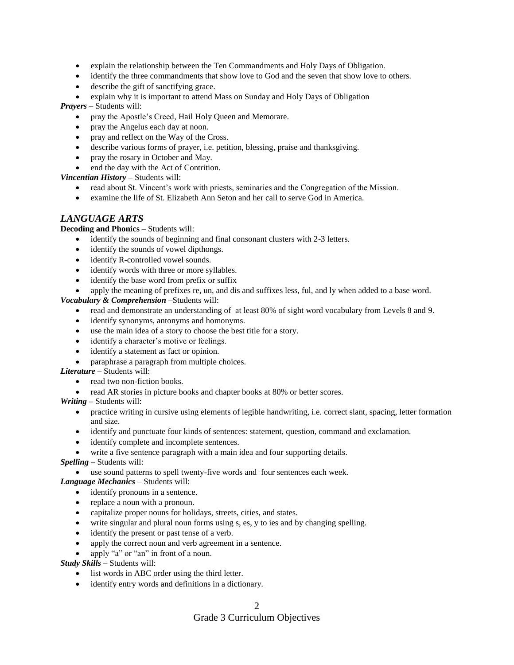- explain the relationship between the Ten Commandments and Holy Days of Obligation.
- identify the three commandments that show love to God and the seven that show love to others.
- describe the gift of sanctifying grace.
- explain why it is important to attend Mass on Sunday and Holy Days of Obligation

*Prayers –* Students will:

- pray the Apostle's Creed, Hail Holy Queen and Memorare.
- pray the Angelus each day at noon.
- pray and reflect on the Way of the Cross.
- describe various forms of prayer, i.e. petition, blessing, praise and thanksgiving.
- pray the rosary in October and May.
- end the day with the Act of Contrition.

*Vincentian History –* Students will:

- read about St. Vincent's work with priests, seminaries and the Congregation of the Mission.
- examine the life of St. Elizabeth Ann Seton and her call to serve God in America.

# *LANGUAGE ARTS*

**Decoding and Phonics** – Students will:

- identify the sounds of beginning and final consonant clusters with 2-3 letters.
- identify the sounds of vowel dipthongs.
- identify R-controlled vowel sounds.
- identify words with three or more syllables.
- identify the base word from prefix or suffix

apply the meaning of prefixes re, un, and dis and suffixes less, ful, and ly when added to a base word.

*Vocabulary & Comprehension* –Students will:

- read and demonstrate an understanding of at least 80% of sight word vocabulary from Levels 8 and 9.
- identify synonyms, antonyms and homonyms.
- use the main idea of a story to choose the best title for a story.
- identify a character's motive or feelings.
- identify a statement as fact or opinion.
- paraphrase a paragraph from multiple choices.

### *Literature* – Students will:

- read two non-fiction books.
- read AR stories in picture books and chapter books at 80% or better scores.

*Writing –* Students will:

- practice writing in cursive using elements of legible handwriting, i.e. correct slant, spacing, letter formation and size.
- identify and punctuate four kinds of sentences: statement, question, command and exclamation.
- identify complete and incomplete sentences.
- write a five sentence paragraph with a main idea and four supporting details.

### *Spelling* – Students will:

use sound patterns to spell twenty-five words and four sentences each week.

### *Language Mechanics* – Students will:

- identify pronouns in a sentence.
- replace a noun with a pronoun.
- capitalize proper nouns for holidays, streets, cities, and states.
- write singular and plural noun forms using s, es, y to ies and by changing spelling.
- identify the present or past tense of a verb.
- apply the correct noun and verb agreement in a sentence.

apply "a" or "an" in front of a noun.

*Study Skills* – Students will:

- list words in ABC order using the third letter.
- identify entry words and definitions in a dictionary.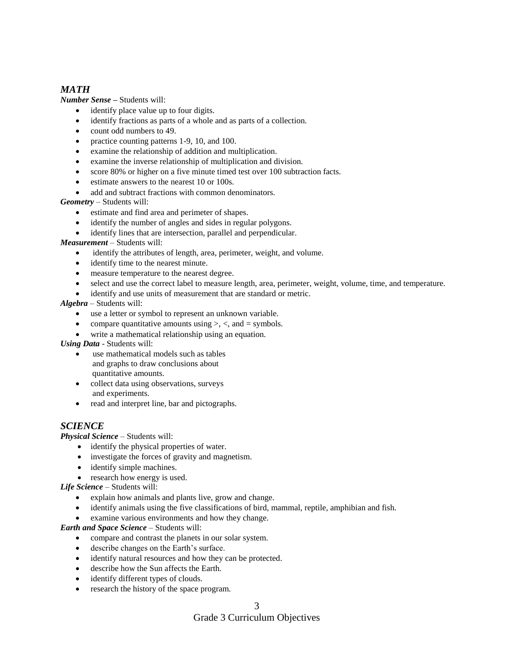# *MATH*

*Number Sense –* Students will:

- identify place value up to four digits.
- identify fractions as parts of a whole and as parts of a collection.
- count odd numbers to 49.
- practice counting patterns 1-9, 10, and 100.
- examine the relationship of addition and multiplication.
- examine the inverse relationship of multiplication and division.
- score 80% or higher on a five minute timed test over 100 subtraction facts.
- estimate answers to the nearest 10 or 100s.
- add and subtract fractions with common denominators.

*Geometry* – Students will:

- estimate and find area and perimeter of shapes.
- identify the number of angles and sides in regular polygons.
- identify lines that are intersection, parallel and perpendicular.

### *Measurement* – Students will:

- identify the attributes of length, area, perimeter, weight, and volume.
- identify time to the nearest minute.
- measure temperature to the nearest degree.
- select and use the correct label to measure length, area, perimeter, weight, volume, time, and temperature.
- identify and use units of measurement that are standard or metric.

### *Algebra –* Students will:

- use a letter or symbol to represent an unknown variable.
- compare quantitative amounts using  $\geq$ ,  $\lt$ , and  $\equiv$  symbols.
- write a mathematical relationship using an equation.

*Using Data* - Students will:

- use mathematical models such as tables and graphs to draw conclusions about quantitative amounts.
- collect data using observations, surveys and experiments.
- read and interpret line, bar and pictographs.

## *SCIENCE*

*Physical Science* – Students will:

- identify the physical properties of water.
- investigate the forces of gravity and magnetism.
- identify simple machines.
- research how energy is used.

*Life Science* – Students will:

- explain how animals and plants live, grow and change.
- identify animals using the five classifications of bird, mammal, reptile, amphibian and fish.
- examine various environments and how they change.

*Earth and Space Science* – Students will:

- compare and contrast the planets in our solar system.
- describe changes on the Earth's surface.
- identify natural resources and how they can be protected.
- describe how the Sun affects the Earth.
- identify different types of clouds.
- research the history of the space program.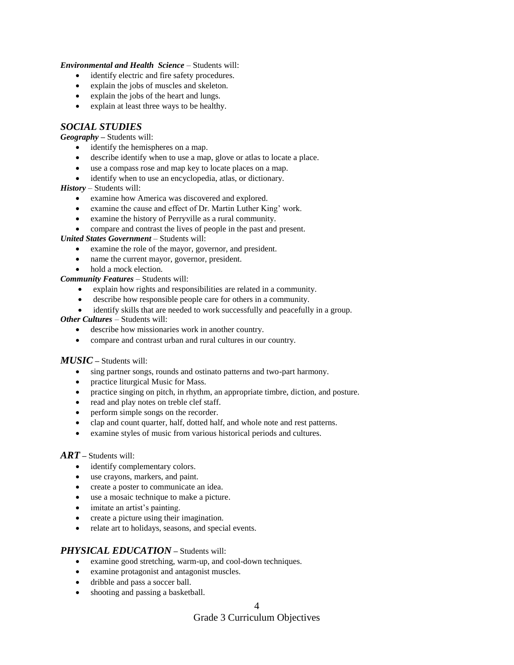#### *Environmental and Health Science* – Students will:

- identify electric and fire safety procedures.
- explain the jobs of muscles and skeleton.
- explain the jobs of the heart and lungs.
- explain at least three ways to be healthy.

### *SOCIAL STUDIES*

#### *Geography –* Students will:

- identify the hemispheres on a map.
- describe identify when to use a map, glove or atlas to locate a place.
- use a compass rose and map key to locate places on a map.
- identify when to use an encyclopedia, atlas, or dictionary.

### *History* – Students will:

- examine how America was discovered and explored.
- examine the cause and effect of Dr. Martin Luther King' work.
- examine the history of Perryville as a rural community.
- compare and contrast the lives of people in the past and present.

#### *United States Government* – Students will:

- examine the role of the mayor, governor, and president.
- name the current mayor, governor, president.
- hold a mock election.

*Community Features* – Students will:

- explain how rights and responsibilities are related in a community.
- describe how responsible people care for others in a community.
- identify skills that are needed to work successfully and peacefully in a group.

### *Other Cultures –* Students will:

- describe how missionaries work in another country.
- compare and contrast urban and rural cultures in our country.

### *MUSIC –* Students will:

- sing partner songs, rounds and ostinato patterns and two-part harmony.
- practice liturgical Music for Mass.
- practice singing on pitch, in rhythm, an appropriate timbre, diction, and posture.
- read and play notes on treble clef staff.
- perform simple songs on the recorder.
- clap and count quarter, half, dotted half, and whole note and rest patterns.
- examine styles of music from various historical periods and cultures.

### *ART –* Students will:

- identify complementary colors.
- use crayons, markers, and paint.
- create a poster to communicate an idea.
- use a mosaic technique to make a picture.
- imitate an artist's painting.
- create a picture using their imagination.
- relate art to holidays, seasons, and special events.

### *PHYSICAL EDUCATION –* Students will:

- examine good stretching, warm-up, and cool-down techniques.
- examine protagonist and antagonist muscles.
- dribble and pass a soccer ball.
- shooting and passing a basketball.